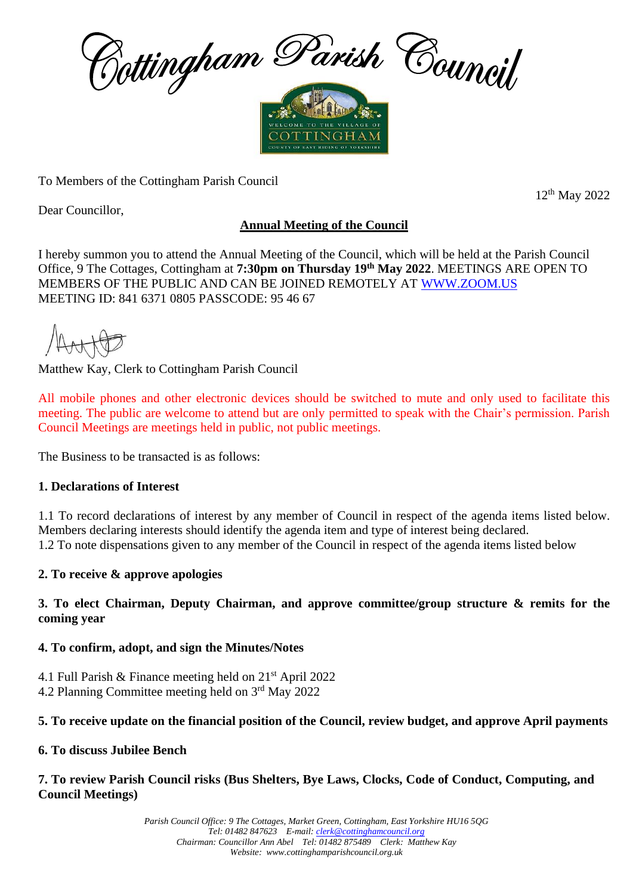

To Members of the Cottingham Parish Council

12 th May 2022

Dear Councillor,

# **Annual Meeting of the Council**

I hereby summon you to attend the Annual Meeting of the Council, which will be held at the Parish Council Office, 9 The Cottages, Cottingham at **7:30pm on Thursday 19th May 2022**. MEETINGS ARE OPEN TO MEMBERS OF THE PUBLIC AND CAN BE JOINED REMOTELY AT [WWW.ZOOM.US](http://www.zoom.us/) MEETING ID: 841 6371 0805 PASSCODE: 95 46 67

Matthew Kay, Clerk to Cottingham Parish Council

All mobile phones and other electronic devices should be switched to mute and only used to facilitate this meeting. The public are welcome to attend but are only permitted to speak with the Chair's permission. Parish Council Meetings are meetings held in public, not public meetings.

The Business to be transacted is as follows:

## **1. Declarations of Interest**

1.1 To record declarations of interest by any member of Council in respect of the agenda items listed below. Members declaring interests should identify the agenda item and type of interest being declared. 1.2 To note dispensations given to any member of the Council in respect of the agenda items listed below

## **2. To receive & approve apologies**

#### **3. To elect Chairman, Deputy Chairman, and approve committee/group structure & remits for the coming year**

## **4. To confirm, adopt, and sign the Minutes/Notes**

4.1 Full Parish & Finance meeting held on  $21<sup>st</sup>$  April 2022 4.2 Planning Committee meeting held on 3 rd May 2022

## **5. To receive update on the financial position of the Council, review budget, and approve April payments**

## **6. To discuss Jubilee Bench**

#### **7. To review Parish Council risks (Bus Shelters, Bye Laws, Clocks, Code of Conduct, Computing, and Council Meetings)**